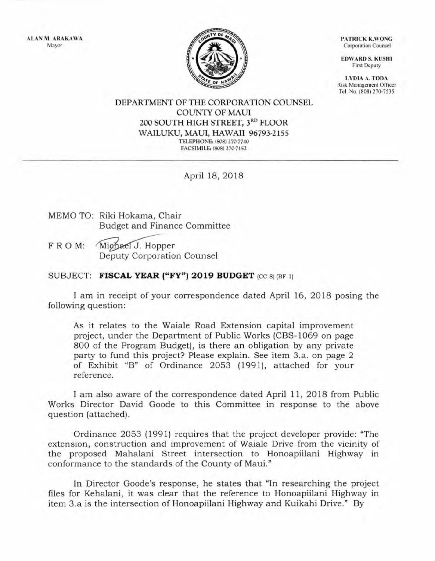ALAN M. ARAKAWA Mayor

PATRICK K.WONG Corporation Counsel

**EDWARD S. KUSHI First Deputy** 

LYDIA A. TODA Risk Management Officer Tel. No. (808) 270-7535

DEPARTMENT OF THE CORPORATION COUNSEL COUNTY OF MAUl 200 SOUTH HIGH STREET, 3RD FLOOR WAILUKU, MAUl, HAWAII 96793-2155 TELEPHONE: (808) 270-7740 FACSIMILE: (808) 270-7152

April 18, 2018

MEMO TO: Riki Hokama, Chair Budget and Finance Committee

F R O M: Mighael J. Hopper<br>Deputy Corporation Counsel

SUBJECT: FISCAL YEAR ("FY") 2019 BUDGET (CC-8) (BF-1)

I am in receipt of your correspondence dated April 16, 2018 posing the following question:

As it relates to the Waiale Road Extension capital improvement project, under the Department of Public Works (CBS-1069 on page 800 of the Program Budget), is there an obligation by any private party to fund this project? Please explain. See item 3.a. on page 2 of Exhibit "B" of Ordinance 2053 (1991), attached for your reference.

I am also aware of the correspondence dated April 11, 2018 from Public Works Director David Goode to this Committee in response to the above question (attached).

Ordinance 2053 (1991) requires that the project developer provide: "The extension, construction and improvement of Waiale Drive from the vicinity of the proposed Mahalani Street intersection to Honoapiilani Highway in conformance to the standards of the County of Maui."

In Director Goode's response, he states that "In researching the project files for Kehalani, it was clear that the reference to Honoapiilani Highway in item 3.a is the intersection of Honoapiilani Highway and Kuikahi Drive." By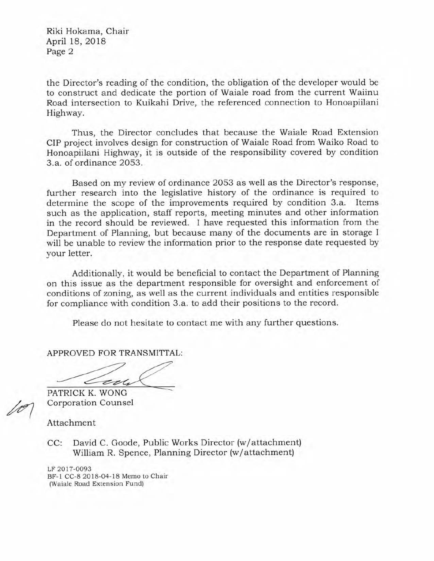Riki Hokama, Chair April 18, 2018 Page 2

the Director's reading of the condition, the obligation of the developer would be to construct and dedicate the portion of Waiale road from the current Waiinu Road intersection to Kuikahi Drive, the referenced connection to Honoapiilani Highway.

Thus, the Director concludes that because the Waiale Road Extension CIP project involves design for construction of Waiale Road from Waiko Road to Honoapiilani Highway, it is outside of the responsibility covered by condition 3.a. of ordinance 2053.

Based on my review of ordinance 2053 as well as the Director's response, further research into the legislative history of the ordinance is required to determine the scope of the improvements required by condition 3.a. Items such as the application, staff reports, meeting minutes and other information in the record should be reviewed. I have requested this information from the Department of Planning, but because many of the documents are in storage I will be unable to review the information prior to the response date requested by your letter.

Additionally, it would be beneficial to contact the Department of Planning on this issue as the department responsible for oversight and enforcement of conditions of zoning, as well as the current individuals and entities responsible for compliance with condition 3.a. to add their positions to the record.

Please do not hesitate to contact me with any further questions.

APPROVED FOR TRANSMITTAL:

Please do not hesitate to contact me with any further<br>APPROVED FOR TRANSMITTAL:<br>PATRICK K. WONG<br>Corporation Counsel

Corporation

Attachment

CC: David C. Goode, Public Works Director (w/attachment) William R. Spence, Planning Director (w/attachment)

LF 2017-0093 BF-1 CC-8 2018-04-18 Memo to Chair (Waiale Road Extension Fund)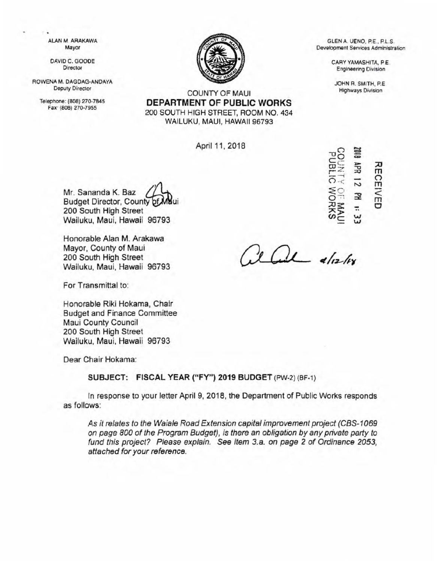ALAN M ARAKAWA Mayor

DAVID C. GOODE Director

ROWENA M. DAGDAG·ANDAYA Depu1y Director

Telephone: (808) 270·7845 Fax· (808) 270·7955



GLEN A. UENO. P.E., P.L.S. Oevslopment Services Administration

> CARY YAMASHITA, P.E. Engineering Oivlslon

JOHN R. SMITH, P.E. Highways Division

 $\Xi$   $\Xi$ na<br>C<sub>2</sub><br>C<sub>2</sub>

 $\begin{array}{cc}\n\text{RE} & \text{ER} \\
\text{RE} & \text{ER} \\
\text{NE} & \text{NE} \\
\end{array}$ 

COUNTY OF MAUl DEPARTMENT OF PUBLIC WORKS 200 SOUTH HIGH STREET, ROOM NO. 434 WAILUKU, MAUl, HAWAII 96793

April 11, 2018

Mr. Sananda K. Baz **Budget Director, County** 200 South High Street Wailuku, Maui, Hawaii 96793

Honorable Alan M. Arakawa Mayor, County of Maui 200 South High Street Wailuku. Maui, Hawaii 96793

CEIV<br>12 F<br> $\frac{1}{12}$ <br>12 F<br>0 W  $\frac{1}{2}$   $\frac{1}{2}$   $\frac{1}{2}$ <sup>m</sup>;us: - 0 ;x:> .. *cnc w w* 

 $\frac{1}{4}$ 

Il states

For Transmittal to:

Honorable Riki Hokama, Chair Budget and Finance Committee Maui County Council 200 South High Street Wailuku, Maui, Hawaii 96793

Dear Chair Hokama:

SUBJECT: FISCAL YEAR ("FY") 2019 BUDGET (PW-2) (BF-1)

In response to your letter April 9, 2018, the Department of Public Works responds as follows:

As it relates to the Waiale Road Extension capital improvement project (CBS-1069) on page *BOO* of the Program Budget), is there an obligation by any private party to fund this project? Please explain. See item 3.a. on page 2 of Ordinance 2053, attached for your reference.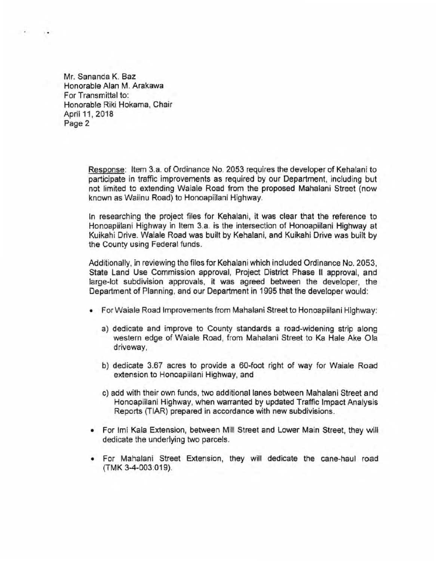Mr. Sananda K. Baz Honorable Alan M. Arakawa For Transmittal to: Honorable Riki Hokama, Chair April 11, 2018 Page 2

 $\sim$ 

Response: Item 3.a. of Ordinance No. 2053 requires the developer of Kehalani to participate in traffic Improvements as required by our Department, including but not limited to extending Waiale Road from the proposed Mahalani Street (now known as Waiinu Road) to Honoapiilani Highway.

In researching the project files for Kehalani, it was clear that the reference to Honoapiilani Highway in Item 3.a. is the intersection of Honoapiilani Highway at Kuikahi Drive. Waiale Road was built by Kehalani, and Kuikahi Drive was built by the County using Federal funds.

Additionally, in reviewing the files for Kehalani which included Ordinance No. 2053, State Land Use Commission approval, Project District Phase II approval, and large-lot subdivision approvals, it was agreed between the developer, the Department of Planning, and our Department in 1995 that the developer would:

- ForWaiale Road Improvements from Mahalani Street to Honoapiilani Highway:
	- a) dedicate and improve to County standards a road-widening strip along western edge of Waiale Road, from Mahalani Street to Ka Hale Ake Ola driveway,
	- b) dedicate 3.67 acres to provide a 60-foot right of way for Waiale Road extension to Honoapiilani Highway, and
	- c) add with their own funds, two additional lanes between Mahalanl Street and Honoapiilani Highway, when warranted by updated Traffic Impact Analysis Reports (TIAR) prepared in accordance with new subdivisions.
- For lmi Kala Extension, between Mill Street and Lower Main Street, they will dedicate the underlying two parcels.
- For Mahalani Street Extension, they will dedicate the cane-haul road (TMK 3-4-003:019).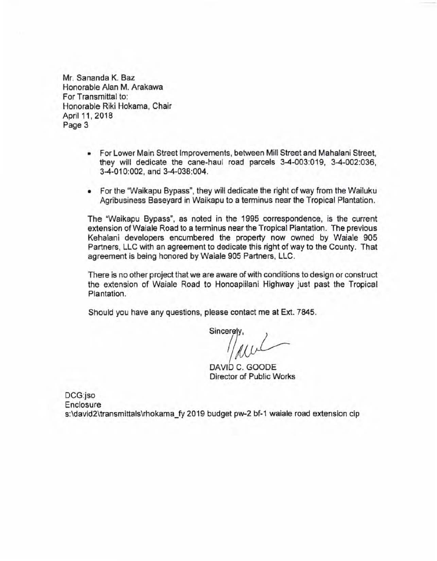Mr. Sananda K. Baz Honorable Alan M. Arakawa For Transmittal to: Honorable Riki Hokama, Chair April 11, 2018 Page 3

- For Lower Main Street Improvements, between Mill Street and Mahalani Street, they will dedicate the cane-haul road parcels 3-4-003:019, 3-4-002:036, 3-4-010:002, and 3-4-038:004.
- For the "Waikapu Bypass", they will dedicate the right of way from the Wailuku Agribusiness Baseyard in Waikapu to a terminus near the Tropical Plantation.

The "Waikapu Bypass", as noted in the 1995 correspondence, is the current extension of Waiale Road to a terminus near the Tropical Plantation. The previous Kehalani developers encumbered the property now owned by Waiale 905 Partners, LLC with an agreement to dedicate this right of way to the County. That agreement is being honored by Waiale 905 Partners, LLC.

There is no other project that we are aware of with conditions to design or construct the extension of Waiale Road to Honoapiilani Highway just past the Tropical Plantation.

Should you have any questions, please contact me at Ext. 7845.

lease contact me at Ext. 7845.<br>Sincerely,

DAVID C. GOODE Director of Public Works

DCG:jso Enclosure

s:\david2\transmittals\rhokama\_fy 2019 budget pw-2 bf-1 waiale road extension cip